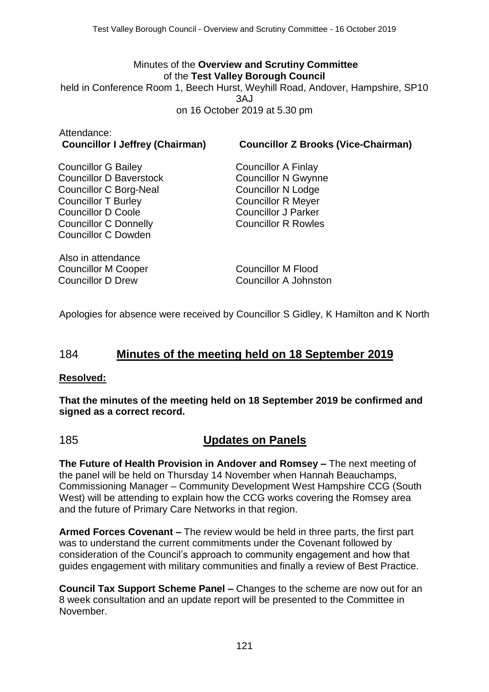#### Minutes of the **Overview and Scrutiny Committee** of the **Test Valley Borough Council**

held in Conference Room 1, Beech Hurst, Weyhill Road, Andover, Hampshire, SP10  $3A<sub>1</sub>$ on 16 October 2019 at 5.30 pm

| Attendance:                            |  |
|----------------------------------------|--|
| <b>Councillor I Jeffrey (Chairman)</b> |  |

**Councillor I Jeffrey (Chairman) Councillor Z Brooks (Vice-Chairman)**

Councillor G Bailey Councillor D Baverstock Councillor C Borg-Neal Councillor T Burley Councillor D Coole Councillor C Donnelly Councillor C Dowden

Councillor A Finlay Councillor N Gwynne Councillor N Lodge Councillor R Meyer Councillor J Parker Councillor R Rowles

Also in attendance Councillor M Cooper Councillor D Drew

Councillor M Flood Councillor A Johnston

Apologies for absence were received by Councillor S Gidley, K Hamilton and K North

## 184 **Minutes of the meeting held on 18 September 2019**

### **Resolved:**

**That the minutes of the meeting held on 18 September 2019 be confirmed and signed as a correct record.**

## 185 **Updates on Panels**

**The Future of Health Provision in Andover and Romsey –** The next meeting of the panel will be held on Thursday 14 November when Hannah Beauchamps, Commissioning Manager – Community Development West Hampshire CCG (South West) will be attending to explain how the CCG works covering the Romsey area and the future of Primary Care Networks in that region.

**Armed Forces Covenant –** The review would be held in three parts, the first part was to understand the current commitments under the Covenant followed by consideration of the Council's approach to community engagement and how that guides engagement with military communities and finally a review of Best Practice.

**Council Tax Support Scheme Panel –** Changes to the scheme are now out for an 8 week consultation and an update report will be presented to the Committee in November.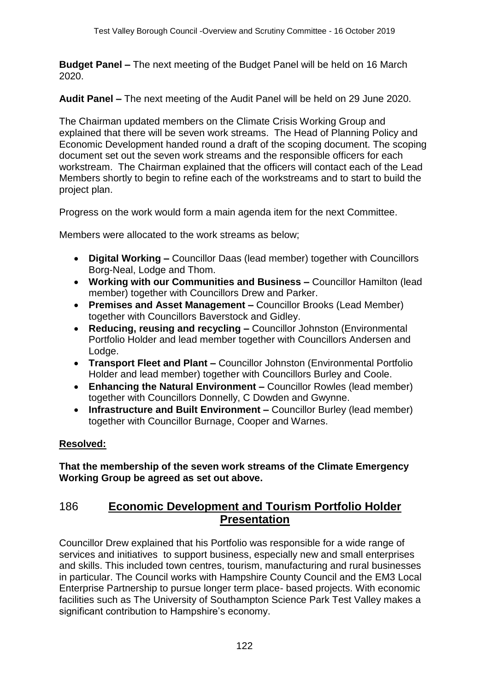**Budget Panel –** The next meeting of the Budget Panel will be held on 16 March 2020.

**Audit Panel –** The next meeting of the Audit Panel will be held on 29 June 2020.

The Chairman updated members on the Climate Crisis Working Group and explained that there will be seven work streams. The Head of Planning Policy and Economic Development handed round a draft of the scoping document. The scoping document set out the seven work streams and the responsible officers for each workstream. The Chairman explained that the officers will contact each of the Lead Members shortly to begin to refine each of the workstreams and to start to build the project plan.

Progress on the work would form a main agenda item for the next Committee.

Members were allocated to the work streams as below;

- **Digital Working –** Councillor Daas (lead member) together with Councillors Borg-Neal, Lodge and Thom.
- **Working with our Communities and Business –** Councillor Hamilton (lead member) together with Councillors Drew and Parker.
- **Premises and Asset Management –** Councillor Brooks (Lead Member) together with Councillors Baverstock and Gidley.
- **Reducing, reusing and recycling –** Councillor Johnston (Environmental Portfolio Holder and lead member together with Councillors Andersen and Lodge.
- **Transport Fleet and Plant –** Councillor Johnston (Environmental Portfolio Holder and lead member) together with Councillors Burley and Coole.
- **Enhancing the Natural Environment –** Councillor Rowles (lead member) together with Councillors Donnelly, C Dowden and Gwynne.
- **Infrastructure and Built Environment –** Councillor Burley (lead member) together with Councillor Burnage, Cooper and Warnes.

### **Resolved:**

**That the membership of the seven work streams of the Climate Emergency Working Group be agreed as set out above.**

## 186 **Economic Development and Tourism Portfolio Holder Presentation**

Councillor Drew explained that his Portfolio was responsible for a wide range of services and initiatives to support business, especially new and small enterprises and skills. This included town centres, tourism, manufacturing and rural businesses in particular. The Council works with Hampshire County Council and the EM3 Local Enterprise Partnership to pursue longer term place- based projects. With economic facilities such as The University of Southampton Science Park Test Valley makes a significant contribution to Hampshire's economy.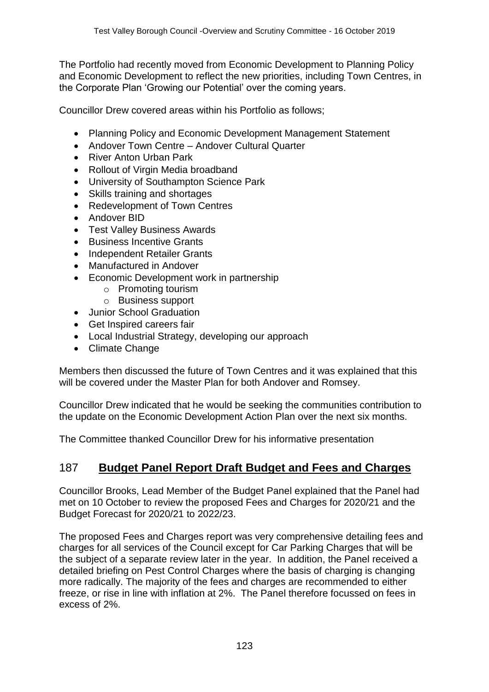The Portfolio had recently moved from Economic Development to Planning Policy and Economic Development to reflect the new priorities, including Town Centres, in the Corporate Plan 'Growing our Potential' over the coming years.

Councillor Drew covered areas within his Portfolio as follows;

- Planning Policy and Economic Development Management Statement
- Andover Town Centre Andover Cultural Quarter
- River Anton Urban Park
- Rollout of Virgin Media broadband
- University of Southampton Science Park
- Skills training and shortages
- Redevelopment of Town Centres
- Andover BID
- Test Valley Business Awards
- Business Incentive Grants
- Independent Retailer Grants
- Manufactured in Andover
- Economic Development work in partnership
	- o Promoting tourism
	- o Business support
- Junior School Graduation
- Get Inspired careers fair
- Local Industrial Strategy, developing our approach
- Climate Change

Members then discussed the future of Town Centres and it was explained that this will be covered under the Master Plan for both Andover and Romsey.

Councillor Drew indicated that he would be seeking the communities contribution to the update on the Economic Development Action Plan over the next six months.

The Committee thanked Councillor Drew for his informative presentation

# 187 **Budget Panel Report Draft Budget and Fees and Charges**

Councillor Brooks, Lead Member of the Budget Panel explained that the Panel had met on 10 October to review the proposed Fees and Charges for 2020/21 and the Budget Forecast for 2020/21 to 2022/23.

The proposed Fees and Charges report was very comprehensive detailing fees and charges for all services of the Council except for Car Parking Charges that will be the subject of a separate review later in the year. In addition, the Panel received a detailed briefing on Pest Control Charges where the basis of charging is changing more radically. The majority of the fees and charges are recommended to either freeze, or rise in line with inflation at 2%. The Panel therefore focussed on fees in excess of 2%.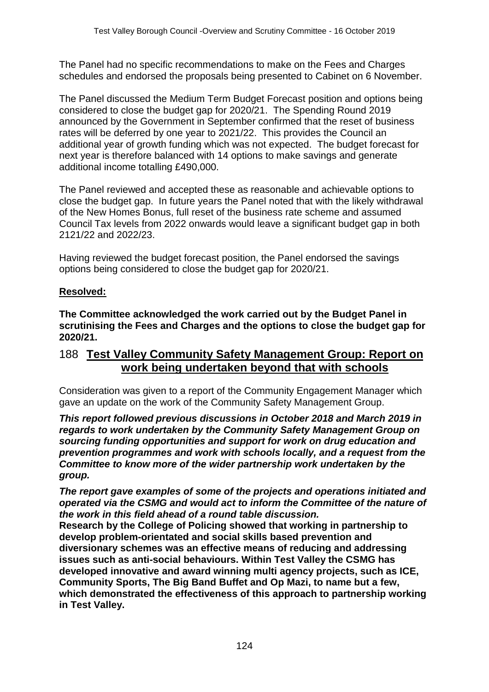The Panel had no specific recommendations to make on the Fees and Charges schedules and endorsed the proposals being presented to Cabinet on 6 November.

The Panel discussed the Medium Term Budget Forecast position and options being considered to close the budget gap for 2020/21. The Spending Round 2019 announced by the Government in September confirmed that the reset of business rates will be deferred by one year to 2021/22. This provides the Council an additional year of growth funding which was not expected. The budget forecast for next year is therefore balanced with 14 options to make savings and generate additional income totalling £490,000.

The Panel reviewed and accepted these as reasonable and achievable options to close the budget gap. In future years the Panel noted that with the likely withdrawal of the New Homes Bonus, full reset of the business rate scheme and assumed Council Tax levels from 2022 onwards would leave a significant budget gap in both 2121/22 and 2022/23.

Having reviewed the budget forecast position, the Panel endorsed the savings options being considered to close the budget gap for 2020/21.

### **Resolved:**

**The Committee acknowledged the work carried out by the Budget Panel in scrutinising the Fees and Charges and the options to close the budget gap for 2020/21.**

## 188 **Test Valley Community Safety Management Group: Report on work being undertaken beyond that with schools**

Consideration was given to a report of the Community Engagement Manager which gave an update on the work of the Community Safety Management Group.

*This report followed previous discussions in October 2018 and March 2019 in regards to work undertaken by the Community Safety Management Group on sourcing funding opportunities and support for work on drug education and prevention programmes and work with schools locally, and a request from the Committee to know more of the wider partnership work undertaken by the group.* 

*The report gave examples of some of the projects and operations initiated and operated via the CSMG and would act to inform the Committee of the nature of the work in this field ahead of a round table discussion.*

**Research by the College of Policing showed that working in partnership to develop problem-orientated and social skills based prevention and diversionary schemes was an effective means of reducing and addressing issues such as anti-social behaviours. Within Test Valley the CSMG has developed innovative and award winning multi agency projects, such as ICE, Community Sports, The Big Band Buffet and Op Mazi, to name but a few, which demonstrated the effectiveness of this approach to partnership working in Test Valley.**